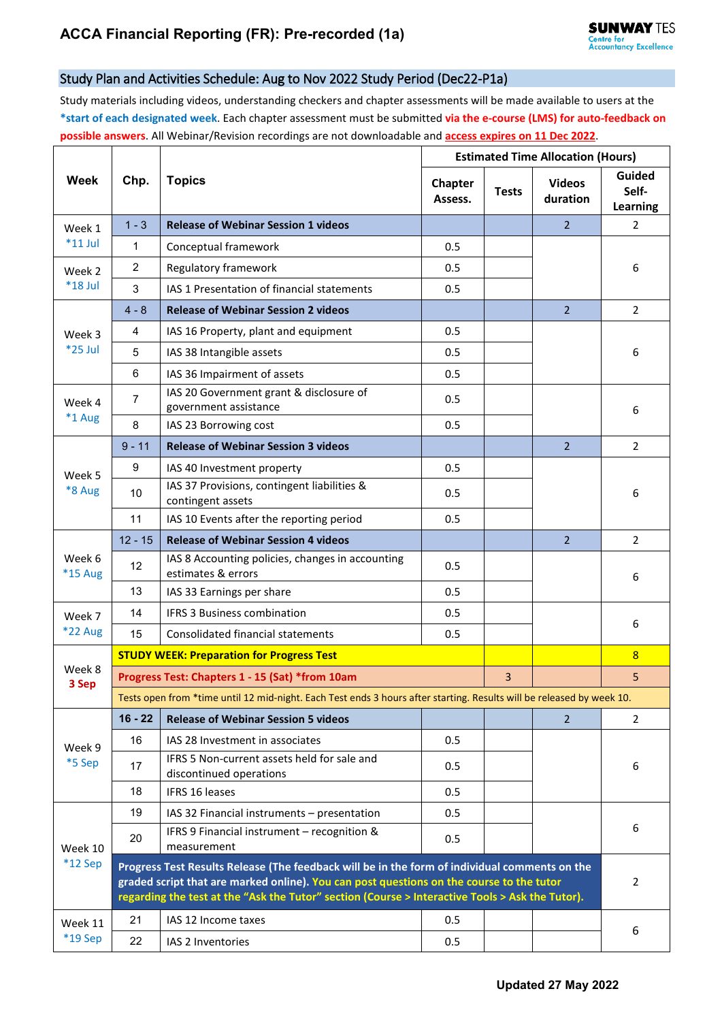## Study Plan and Activities Schedule: Aug to Nov 2022 Study Period (Dec22-P1a)

Study materials including videos, understanding checkers and chapter assessments will be made available to users at the **\*start of each designated week**. Each chapter assessment must be submitted **via the e-course (LMS) for auto-feedback on possible answers**. All Webinar/Revision recordings are not downloadable and **access expires on 11 Dec 2022**.

| Week                 | Chp.                                                                                                                                                                                                                                                                                         | <b>Topics</b>                                                          | <b>Estimated Time Allocation (Hours)</b> |              |                           |                                    |  |  |
|----------------------|----------------------------------------------------------------------------------------------------------------------------------------------------------------------------------------------------------------------------------------------------------------------------------------------|------------------------------------------------------------------------|------------------------------------------|--------------|---------------------------|------------------------------------|--|--|
|                      |                                                                                                                                                                                                                                                                                              |                                                                        | Chapter<br>Assess.                       | <b>Tests</b> | <b>Videos</b><br>duration | <b>Guided</b><br>Self-<br>Learning |  |  |
| Week 1<br>$*11$ Jul  | $1 - 3$                                                                                                                                                                                                                                                                                      | <b>Release of Webinar Session 1 videos</b>                             |                                          |              | $\overline{2}$            | 2                                  |  |  |
|                      | 1                                                                                                                                                                                                                                                                                            | Conceptual framework                                                   | 0.5                                      |              |                           |                                    |  |  |
| Week 2<br>$*18$ Jul  | $\overline{2}$                                                                                                                                                                                                                                                                               | Regulatory framework                                                   | 0.5                                      |              |                           | 6                                  |  |  |
|                      | 3                                                                                                                                                                                                                                                                                            | IAS 1 Presentation of financial statements                             | 0.5                                      |              |                           |                                    |  |  |
| Week 3<br>*25 Jul    | $4 - 8$                                                                                                                                                                                                                                                                                      | <b>Release of Webinar Session 2 videos</b>                             |                                          |              | $\overline{2}$            | $\overline{2}$                     |  |  |
|                      | 4                                                                                                                                                                                                                                                                                            | IAS 16 Property, plant and equipment                                   | 0.5                                      |              |                           | 6                                  |  |  |
|                      | 5                                                                                                                                                                                                                                                                                            | IAS 38 Intangible assets                                               | 0.5                                      |              |                           |                                    |  |  |
|                      | 6                                                                                                                                                                                                                                                                                            | IAS 36 Impairment of assets                                            | 0.5                                      |              |                           |                                    |  |  |
| Week 4<br>$*1$ Aug   | 7                                                                                                                                                                                                                                                                                            | IAS 20 Government grant & disclosure of<br>government assistance       | 0.5                                      |              |                           | 6                                  |  |  |
|                      | 8                                                                                                                                                                                                                                                                                            | IAS 23 Borrowing cost                                                  | 0.5                                      |              |                           |                                    |  |  |
|                      | $9 - 11$                                                                                                                                                                                                                                                                                     | <b>Release of Webinar Session 3 videos</b>                             |                                          |              | $\overline{2}$            | $\overline{2}$                     |  |  |
| Week 5<br>*8 Aug     | 9                                                                                                                                                                                                                                                                                            | IAS 40 Investment property                                             | 0.5                                      |              |                           |                                    |  |  |
|                      | 10                                                                                                                                                                                                                                                                                           | IAS 37 Provisions, contingent liabilities &<br>contingent assets       | 0.5                                      |              |                           | 6                                  |  |  |
|                      | 11                                                                                                                                                                                                                                                                                           | IAS 10 Events after the reporting period                               | 0.5                                      |              |                           |                                    |  |  |
|                      | $12 - 15$                                                                                                                                                                                                                                                                                    | <b>Release of Webinar Session 4 videos</b>                             |                                          |              | $\overline{2}$            | $\overline{2}$                     |  |  |
| Week 6<br>*15 Aug    | 12                                                                                                                                                                                                                                                                                           | IAS 8 Accounting policies, changes in accounting<br>estimates & errors | 0.5                                      |              |                           | 6                                  |  |  |
|                      | 13                                                                                                                                                                                                                                                                                           | IAS 33 Earnings per share                                              | 0.5                                      |              |                           |                                    |  |  |
| Week 7               | 14                                                                                                                                                                                                                                                                                           | <b>IFRS 3 Business combination</b>                                     | 0.5                                      |              |                           | 6                                  |  |  |
| <b>*22 Aug</b>       | 15                                                                                                                                                                                                                                                                                           | Consolidated financial statements                                      | 0.5                                      |              |                           |                                    |  |  |
| Week 8<br>3 Sep      | <b>STUDY WEEK: Preparation for Progress Test</b>                                                                                                                                                                                                                                             |                                                                        |                                          |              |                           | 8                                  |  |  |
|                      | Progress Test: Chapters 1 - 15 (Sat) *from 10am                                                                                                                                                                                                                                              |                                                                        |                                          |              |                           | 5                                  |  |  |
|                      | Tests open from *time until 12 mid-night. Each Test ends 3 hours after starting. Results will be released by week 10.                                                                                                                                                                        |                                                                        |                                          |              |                           |                                    |  |  |
| Week 9<br>*5 Sep     | $16 - 22$                                                                                                                                                                                                                                                                                    | <b>Release of Webinar Session 5 videos</b>                             |                                          |              | $\overline{2}$            | $\mathbf{2}^{\prime}$              |  |  |
|                      | 16                                                                                                                                                                                                                                                                                           | IAS 28 Investment in associates                                        | 0.5                                      |              |                           |                                    |  |  |
|                      | 17                                                                                                                                                                                                                                                                                           | IFRS 5 Non-current assets held for sale and<br>discontinued operations | 0.5                                      |              |                           | 6                                  |  |  |
|                      | 18                                                                                                                                                                                                                                                                                           | <b>IFRS 16 leases</b>                                                  | 0.5                                      |              |                           |                                    |  |  |
| Week 10<br>$*12$ Sep | 19                                                                                                                                                                                                                                                                                           | IAS 32 Financial instruments - presentation                            | 0.5                                      |              |                           |                                    |  |  |
|                      | 20                                                                                                                                                                                                                                                                                           | IFRS 9 Financial instrument - recognition &<br>measurement             | 0.5                                      |              |                           | 6                                  |  |  |
|                      | Progress Test Results Release (The feedback will be in the form of individual comments on the<br>graded script that are marked online). You can post questions on the course to the tutor<br>regarding the test at the "Ask the Tutor" section (Course > Interactive Tools > Ask the Tutor). |                                                                        |                                          |              |                           |                                    |  |  |
| Week 11<br>*19 Sep   | 21                                                                                                                                                                                                                                                                                           | IAS 12 Income taxes                                                    | 0.5                                      |              |                           |                                    |  |  |
|                      | 22                                                                                                                                                                                                                                                                                           | IAS 2 Inventories                                                      | 0.5                                      |              |                           | 6                                  |  |  |